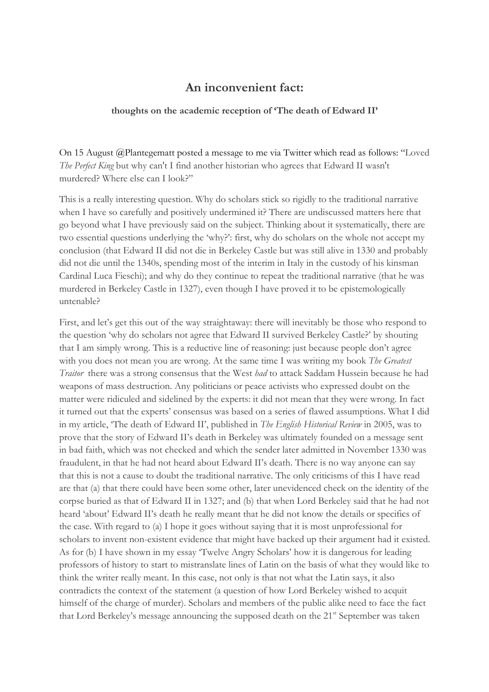## **An inconvenient fact:**

## **thoughts on the academic reception of 'The death of Edward II'**

On 15 August @Plantegematt posted a message to me via Twitter which read as follows: "Loved *The Perfect King* but why can't I find another historian who agrees that Edward II wasn't murdered? Where else can I look?"

This is a really interesting question. Why do scholars stick so rigidly to the traditional narrative when I have so carefully and positively undermined it? There are undiscussed matters here that go beyond what I have previously said on the subject. Thinking about it systematically, there are two essential questions underlying the 'why?': first, why do scholars on the whole not accept my conclusion (that Edward II did not die in Berkeley Castle but was still alive in 1330 and probably did not die until the 1340s, spending most of the interim in Italy in the custody of his kinsman Cardinal Luca Fieschi); and why do they continue to repeat the traditional narrative (that he was murdered in Berkeley Castle in 1327), even though I have proved it to be epistemologically untenable?

First, and let's get this out of the way straightaway: there will inevitably be those who respond to the question 'why do scholars not agree that Edward II survived Berkeley Castle?' by shouting that I am simply wrong. This is a reductive line of reasoning: just because people don't agree with you does not mean you are wrong. At the same time I was writing my book *The Greatest Traitor* there was a strong consensus that the West *had* to attack Saddam Hussein because he had weapons of mass destruction. Any politicians or peace activists who expressed doubt on the matter were ridiculed and sidelined by the experts: it did not mean that they were wrong. In fact it turned out that the experts' consensus was based on a series of flawed assumptions. What I did in my article, 'The death of Edward II', published in *The English Historical Review* in 2005, was to prove that the story of Edward II's death in Berkeley was ultimately founded on a message sent in bad faith, which was not checked and which the sender later admitted in November 1330 was fraudulent, in that he had not heard about Edward II's death. There is no way anyone can say that this is not a cause to doubt the traditional narrative. The only criticisms of this I have read are that (a) that there could have been some other, later unevidenced check on the identity of the corpse buried as that of Edward II in 1327; and (b) that when Lord Berkeley said that he had not heard 'about' Edward II's death he really meant that he did not know the details or specifics of the case. With regard to (a) I hope it goes without saying that it is most unprofessional for scholars to invent non-existent evidence that might have backed up their argument had it existed. As for (b) I have shown in my essay 'Twelve Angry Scholars' how it is dangerous for leading professors of history to start to mistranslate lines of Latin on the basis of what they would like to think the writer really meant. In this case, not only is that not what the Latin says, it also contradicts the context of the statement (a question of how Lord Berkeley wished to acquit himself of the charge of murder). Scholars and members of the public alike need to face the fact that Lord Berkeley's message announcing the supposed death on the  $21<sup>st</sup>$  September was taken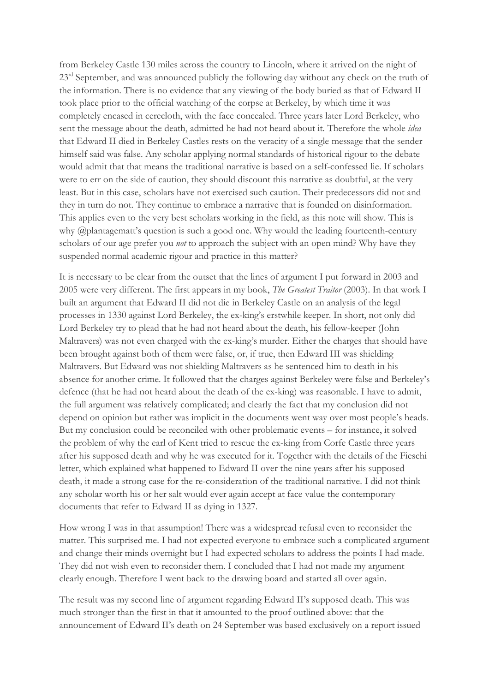from Berkeley Castle 130 miles across the country to Lincoln, where it arrived on the night of 23<sup>rd</sup> September, and was announced publicly the following day without any check on the truth of the information. There is no evidence that any viewing of the body buried as that of Edward II took place prior to the official watching of the corpse at Berkeley, by which time it was completely encased in cerecloth, with the face concealed. Three years later Lord Berkeley, who sent the message about the death, admitted he had not heard about it. Therefore the whole *idea* that Edward II died in Berkeley Castles rests on the veracity of a single message that the sender himself said was false. Any scholar applying normal standards of historical rigour to the debate would admit that that means the traditional narrative is based on a self-confessed lie. If scholars were to err on the side of caution, they should discount this narrative as doubtful, at the very least. But in this case, scholars have not exercised such caution. Their predecessors did not and they in turn do not. They continue to embrace a narrative that is founded on disinformation. This applies even to the very best scholars working in the field, as this note will show. This is why @plantagematt's question is such a good one. Why would the leading fourteenth-century scholars of our age prefer you *not* to approach the subject with an open mind? Why have they suspended normal academic rigour and practice in this matter?

It is necessary to be clear from the outset that the lines of argument I put forward in 2003 and 2005 were very different. The first appears in my book, *The Greatest Traitor* (2003). In that work I built an argument that Edward II did not die in Berkeley Castle on an analysis of the legal processes in 1330 against Lord Berkeley, the ex-king's erstwhile keeper. In short, not only did Lord Berkeley try to plead that he had not heard about the death, his fellow-keeper (John Maltravers) was not even charged with the ex-king's murder. Either the charges that should have been brought against both of them were false, or, if true, then Edward III was shielding Maltravers. But Edward was not shielding Maltravers as he sentenced him to death in his absence for another crime. It followed that the charges against Berkeley were false and Berkeley's defence (that he had not heard about the death of the ex-king) was reasonable. I have to admit, the full argument was relatively complicated; and clearly the fact that my conclusion did not depend on opinion but rather was implicit in the documents went way over most people's heads. But my conclusion could be reconciled with other problematic events – for instance, it solved the problem of why the earl of Kent tried to rescue the ex-king from Corfe Castle three years after his supposed death and why he was executed for it. Together with the details of the Fieschi letter, which explained what happened to Edward II over the nine years after his supposed death, it made a strong case for the re-consideration of the traditional narrative. I did not think any scholar worth his or her salt would ever again accept at face value the contemporary documents that refer to Edward II as dying in 1327.

How wrong I was in that assumption! There was a widespread refusal even to reconsider the matter. This surprised me. I had not expected everyone to embrace such a complicated argument and change their minds overnight but I had expected scholars to address the points I had made. They did not wish even to reconsider them. I concluded that I had not made my argument clearly enough. Therefore I went back to the drawing board and started all over again.

The result was my second line of argument regarding Edward II's supposed death. This was much stronger than the first in that it amounted to the proof outlined above: that the announcement of Edward II's death on 24 September was based exclusively on a report issued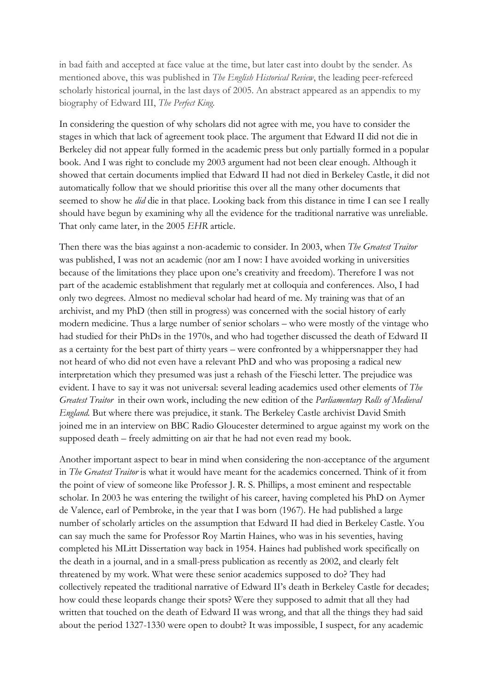in bad faith and accepted at face value at the time, but later cast into doubt by the sender. As mentioned above, this was published in *The English Historical Review*, the leading peer-refereed scholarly historical journal, in the last days of 2005. An abstract appeared as an appendix to my biography of Edward III, *The Perfect King*.

In considering the question of why scholars did not agree with me, you have to consider the stages in which that lack of agreement took place. The argument that Edward II did not die in Berkeley did not appear fully formed in the academic press but only partially formed in a popular book. And I was right to conclude my 2003 argument had not been clear enough. Although it showed that certain documents implied that Edward II had not died in Berkeley Castle, it did not automatically follow that we should prioritise this over all the many other documents that seemed to show he *did* die in that place. Looking back from this distance in time I can see I really should have begun by examining why all the evidence for the traditional narrative was unreliable. That only came later, in the 2005 *EHR* article.

Then there was the bias against a non-academic to consider. In 2003, when *The Greatest Traitor*  was published, I was not an academic (nor am I now: I have avoided working in universities because of the limitations they place upon one's creativity and freedom). Therefore I was not part of the academic establishment that regularly met at colloquia and conferences. Also, I had only two degrees. Almost no medieval scholar had heard of me. My training was that of an archivist, and my PhD (then still in progress) was concerned with the social history of early modern medicine. Thus a large number of senior scholars – who were mostly of the vintage who had studied for their PhDs in the 1970s, and who had together discussed the death of Edward II as a certainty for the best part of thirty years – were confronted by a whippersnapper they had not heard of who did not even have a relevant PhD and who was proposing a radical new interpretation which they presumed was just a rehash of the Fieschi letter. The prejudice was evident. I have to say it was not universal: several leading academics used other elements of *The Greatest Traitor* in their own work, including the new edition of the *Parliamentary Rolls of Medieval England.* But where there was prejudice, it stank. The Berkeley Castle archivist David Smith joined me in an interview on BBC Radio Gloucester determined to argue against my work on the supposed death – freely admitting on air that he had not even read my book.

Another important aspect to bear in mind when considering the non-acceptance of the argument in *The Greatest Traitor* is what it would have meant for the academics concerned. Think of it from the point of view of someone like Professor J. R. S. Phillips, a most eminent and respectable scholar. In 2003 he was entering the twilight of his career, having completed his PhD on Aymer de Valence, earl of Pembroke, in the year that I was born (1967). He had published a large number of scholarly articles on the assumption that Edward II had died in Berkeley Castle. You can say much the same for Professor Roy Martin Haines, who was in his seventies, having completed his MLitt Dissertation way back in 1954. Haines had published work specifically on the death in a journal, and in a small-press publication as recently as 2002, and clearly felt threatened by my work. What were these senior academics supposed to do? They had collectively repeated the traditional narrative of Edward II's death in Berkeley Castle for decades; how could these leopards change their spots? Were they supposed to admit that all they had written that touched on the death of Edward II was wrong, and that all the things they had said about the period 1327-1330 were open to doubt? It was impossible, I suspect, for any academic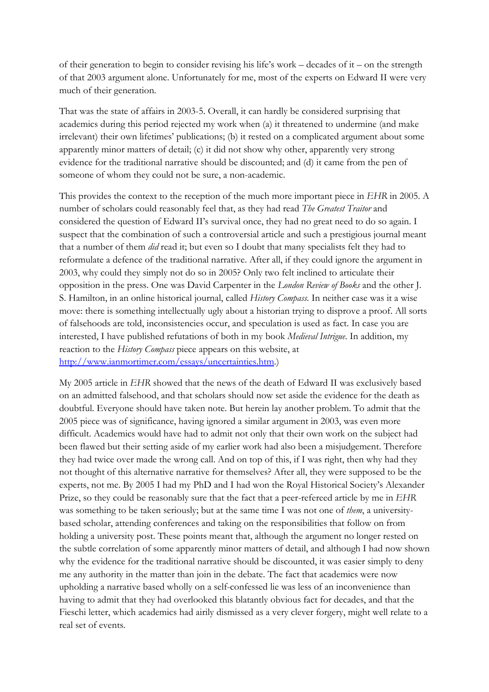of their generation to begin to consider revising his life's work – decades of it – on the strength of that 2003 argument alone. Unfortunately for me, most of the experts on Edward II were very much of their generation.

That was the state of affairs in 2003-5. Overall, it can hardly be considered surprising that academics during this period rejected my work when (a) it threatened to undermine (and make irrelevant) their own lifetimes' publications; (b) it rested on a complicated argument about some apparently minor matters of detail; (c) it did not show why other, apparently very strong evidence for the traditional narrative should be discounted; and (d) it came from the pen of someone of whom they could not be sure, a non-academic.

This provides the context to the reception of the much more important piece in *EHR* in 2005. A number of scholars could reasonably feel that, as they had read *The Greatest Traitor* and considered the question of Edward II's survival once, they had no great need to do so again. I suspect that the combination of such a controversial article and such a prestigious journal meant that a number of them *did* read it; but even so I doubt that many specialists felt they had to reformulate a defence of the traditional narrative. After all, if they could ignore the argument in 2003, why could they simply not do so in 2005? Only two felt inclined to articulate their opposition in the press. One was David Carpenter in the *London Review of Books* and the other J. S. Hamilton, in an online historical journal, called *History Compass.* In neither case was it a wise move: there is something intellectually ugly about a historian trying to disprove a proof. All sorts of falsehoods are told, inconsistencies occur, and speculation is used as fact. In case you are interested, I have published refutations of both in my book *Medieval Intrigue*. In addition, my reaction to the *History Compass* piece appears on this website, at http://www.ianmortimer.com/essays/uncertainties.htm.)

My 2005 article in *EHR* showed that the news of the death of Edward II was exclusively based on an admitted falsehood, and that scholars should now set aside the evidence for the death as doubtful. Everyone should have taken note. But herein lay another problem. To admit that the 2005 piece was of significance, having ignored a similar argument in 2003, was even more difficult. Academics would have had to admit not only that their own work on the subject had been flawed but their setting aside of my earlier work had also been a misjudgement. Therefore they had twice over made the wrong call. And on top of this, if I was right, then why had they not thought of this alternative narrative for themselves? After all, they were supposed to be the experts, not me. By 2005 I had my PhD and I had won the Royal Historical Society's Alexander Prize, so they could be reasonably sure that the fact that a peer-refereed article by me in *EHR*  was something to be taken seriously; but at the same time I was not one of *them*, a universitybased scholar, attending conferences and taking on the responsibilities that follow on from holding a university post. These points meant that, although the argument no longer rested on the subtle correlation of some apparently minor matters of detail, and although I had now shown why the evidence for the traditional narrative should be discounted, it was easier simply to deny me any authority in the matter than join in the debate. The fact that academics were now upholding a narrative based wholly on a self-confessed lie was less of an inconvenience than having to admit that they had overlooked this blatantly obvious fact for decades, and that the Fieschi letter, which academics had airily dismissed as a very clever forgery, might well relate to a real set of events.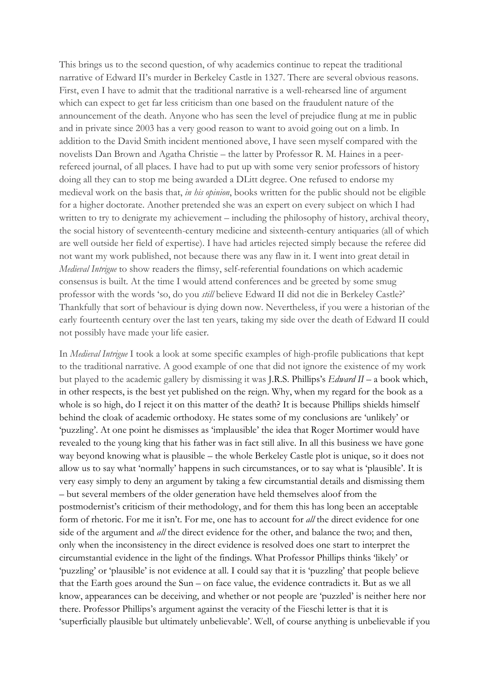This brings us to the second question, of why academics continue to repeat the traditional narrative of Edward II's murder in Berkeley Castle in 1327. There are several obvious reasons. First, even I have to admit that the traditional narrative is a well-rehearsed line of argument which can expect to get far less criticism than one based on the fraudulent nature of the announcement of the death. Anyone who has seen the level of prejudice flung at me in public and in private since 2003 has a very good reason to want to avoid going out on a limb. In addition to the David Smith incident mentioned above, I have seen myself compared with the novelists Dan Brown and Agatha Christie – the latter by Professor R. M. Haines in a peerrefereed journal, of all places. I have had to put up with some very senior professors of history doing all they can to stop me being awarded a DLitt degree. One refused to endorse my medieval work on the basis that, *in his opinion*, books written for the public should not be eligible for a higher doctorate. Another pretended she was an expert on every subject on which I had written to try to denigrate my achievement – including the philosophy of history, archival theory, the social history of seventeenth-century medicine and sixteenth-century antiquaries (all of which are well outside her field of expertise). I have had articles rejected simply because the referee did not want my work published, not because there was any flaw in it. I went into great detail in *Medieval Intrigue* to show readers the flimsy, self-referential foundations on which academic consensus is built. At the time I would attend conferences and be greeted by some smug professor with the words 'so, do you *still* believe Edward II did not die in Berkeley Castle?' Thankfully that sort of behaviour is dying down now. Nevertheless, if you were a historian of the early fourteenth century over the last ten years, taking my side over the death of Edward II could not possibly have made your life easier.

In *Medieval Intrigue* I took a look at some specific examples of high-profile publications that kept to the traditional narrative. A good example of one that did not ignore the existence of my work but played to the academic gallery by dismissing it was J.R.S. Phillips's *Edward II* – a book which, in other respects, is the best yet published on the reign. Why, when my regard for the book as a whole is so high, do I reject it on this matter of the death? It is because Phillips shields himself behind the cloak of academic orthodoxy. He states some of my conclusions are 'unlikely' or 'puzzling'. At one point he dismisses as 'implausible' the idea that Roger Mortimer would have revealed to the young king that his father was in fact still alive. In all this business we have gone way beyond knowing what is plausible – the whole Berkeley Castle plot is unique, so it does not allow us to say what 'normally' happens in such circumstances, or to say what is 'plausible'. It is very easy simply to deny an argument by taking a few circumstantial details and dismissing them – but several members of the older generation have held themselves aloof from the postmodernist's criticism of their methodology, and for them this has long been an acceptable form of rhetoric. For me it isn't. For me, one has to account for *all* the direct evidence for one side of the argument and *all* the direct evidence for the other, and balance the two; and then, only when the inconsistency in the direct evidence is resolved does one start to interpret the circumstantial evidence in the light of the findings. What Professor Phillips thinks 'likely' or 'puzzling' or 'plausible' is not evidence at all. I could say that it is 'puzzling' that people believe that the Earth goes around the Sun – on face value, the evidence contradicts it. But as we all know, appearances can be deceiving, and whether or not people are 'puzzled' is neither here nor there. Professor Phillips's argument against the veracity of the Fieschi letter is that it is 'superficially plausible but ultimately unbelievable'. Well, of course anything is unbelievable if you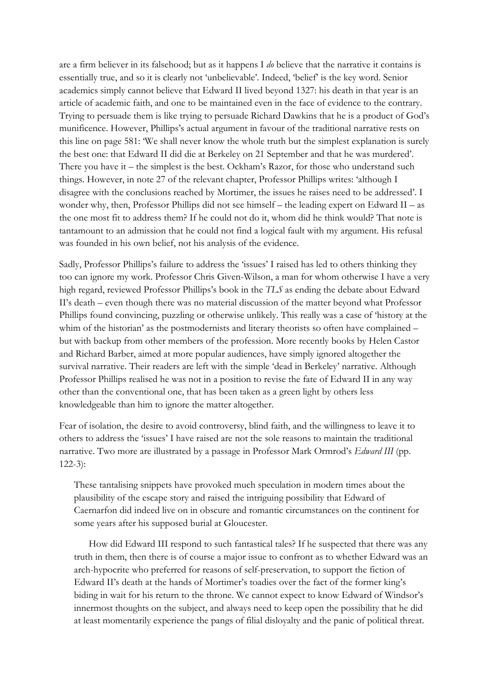are a firm believer in its falsehood; but as it happens I *do* believe that the narrative it contains is essentially true, and so it is clearly not 'unbelievable'. Indeed, 'belief' is the key word. Senior academics simply cannot believe that Edward II lived beyond 1327: his death in that year is an article of academic faith, and one to be maintained even in the face of evidence to the contrary. Trying to persuade them is like trying to persuade Richard Dawkins that he is a product of God's munificence. However, Phillips's actual argument in favour of the traditional narrative rests on this line on page 581: 'We shall never know the whole truth but the simplest explanation is surely the best one: that Edward II did die at Berkeley on 21 September and that he was murdered'. There you have it – the simplest is the best. Ockham's Razor, for those who understand such things. However, in note 27 of the relevant chapter, Professor Phillips writes: 'although I disagree with the conclusions reached by Mortimer, the issues he raises need to be addressed'. I wonder why, then, Professor Phillips did not see himself – the leading expert on Edward II – as the one most fit to address them? If he could not do it, whom did he think would? That note is tantamount to an admission that he could not find a logical fault with my argument. His refusal was founded in his own belief, not his analysis of the evidence.

Sadly, Professor Phillips's failure to address the 'issues' I raised has led to others thinking they too can ignore my work. Professor Chris Given-Wilson, a man for whom otherwise I have a very high regard, reviewed Professor Phillips's book in the *TLS* as ending the debate about Edward II's death – even though there was no material discussion of the matter beyond what Professor Phillips found convincing, puzzling or otherwise unlikely. This really was a case of 'history at the whim of the historian' as the postmodernists and literary theorists so often have complained – but with backup from other members of the profession. More recently books by Helen Castor and Richard Barber, aimed at more popular audiences, have simply ignored altogether the survival narrative. Their readers are left with the simple 'dead in Berkeley' narrative. Although Professor Phillips realised he was not in a position to revise the fate of Edward II in any way other than the conventional one, that has been taken as a green light by others less knowledgeable than him to ignore the matter altogether.

Fear of isolation, the desire to avoid controversy, blind faith, and the willingness to leave it to others to address the 'issues' I have raised are not the sole reasons to maintain the traditional narrative. Two more are illustrated by a passage in Professor Mark Ormrod's *Edward III* (pp. 122-3):

These tantalising snippets have provoked much speculation in modern times about the plausibility of the escape story and raised the intriguing possibility that Edward of Caernarfon did indeed live on in obscure and romantic circumstances on the continent for some years after his supposed burial at Gloucester.

 How did Edward III respond to such fantastical tales? If he suspected that there was any truth in them, then there is of course a major issue to confront as to whether Edward was an arch-hypocrite who preferred for reasons of self-preservation, to support the fiction of Edward II's death at the hands of Mortimer's toadies over the fact of the former king's biding in wait for his return to the throne. We cannot expect to know Edward of Windsor's innermost thoughts on the subject, and always need to keep open the possibility that he did at least momentarily experience the pangs of filial disloyalty and the panic of political threat.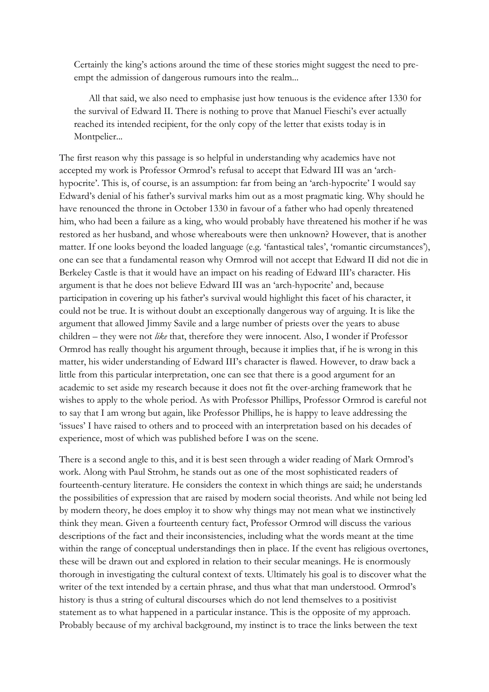Certainly the king's actions around the time of these stories might suggest the need to preempt the admission of dangerous rumours into the realm...

 All that said, we also need to emphasise just how tenuous is the evidence after 1330 for the survival of Edward II. There is nothing to prove that Manuel Fieschi's ever actually reached its intended recipient, for the only copy of the letter that exists today is in Montpelier...

The first reason why this passage is so helpful in understanding why academics have not accepted my work is Professor Ormrod's refusal to accept that Edward III was an 'archhypocrite'. This is, of course, is an assumption: far from being an 'arch-hypocrite' I would say Edward's denial of his father's survival marks him out as a most pragmatic king. Why should he have renounced the throne in October 1330 in favour of a father who had openly threatened him, who had been a failure as a king, who would probably have threatened his mother if he was restored as her husband, and whose whereabouts were then unknown? However, that is another matter. If one looks beyond the loaded language (e.g. 'fantastical tales', 'romantic circumstances'), one can see that a fundamental reason why Ormrod will not accept that Edward II did not die in Berkeley Castle is that it would have an impact on his reading of Edward III's character. His argument is that he does not believe Edward III was an 'arch-hypocrite' and, because participation in covering up his father's survival would highlight this facet of his character, it could not be true. It is without doubt an exceptionally dangerous way of arguing. It is like the argument that allowed Jimmy Savile and a large number of priests over the years to abuse children – they were not *like* that, therefore they were innocent. Also, I wonder if Professor Ormrod has really thought his argument through, because it implies that, if he is wrong in this matter, his wider understanding of Edward III's character is flawed. However, to draw back a little from this particular interpretation, one can see that there is a good argument for an academic to set aside my research because it does not fit the over-arching framework that he wishes to apply to the whole period. As with Professor Phillips, Professor Ormrod is careful not to say that I am wrong but again, like Professor Phillips, he is happy to leave addressing the 'issues' I have raised to others and to proceed with an interpretation based on his decades of experience, most of which was published before I was on the scene.

There is a second angle to this, and it is best seen through a wider reading of Mark Ormrod's work. Along with Paul Strohm, he stands out as one of the most sophisticated readers of fourteenth-century literature. He considers the context in which things are said; he understands the possibilities of expression that are raised by modern social theorists. And while not being led by modern theory, he does employ it to show why things may not mean what we instinctively think they mean. Given a fourteenth century fact, Professor Ormrod will discuss the various descriptions of the fact and their inconsistencies, including what the words meant at the time within the range of conceptual understandings then in place. If the event has religious overtones, these will be drawn out and explored in relation to their secular meanings. He is enormously thorough in investigating the cultural context of texts. Ultimately his goal is to discover what the writer of the text intended by a certain phrase, and thus what that man understood. Ormrod's history is thus a string of cultural discourses which do not lend themselves to a positivist statement as to what happened in a particular instance. This is the opposite of my approach. Probably because of my archival background, my instinct is to trace the links between the text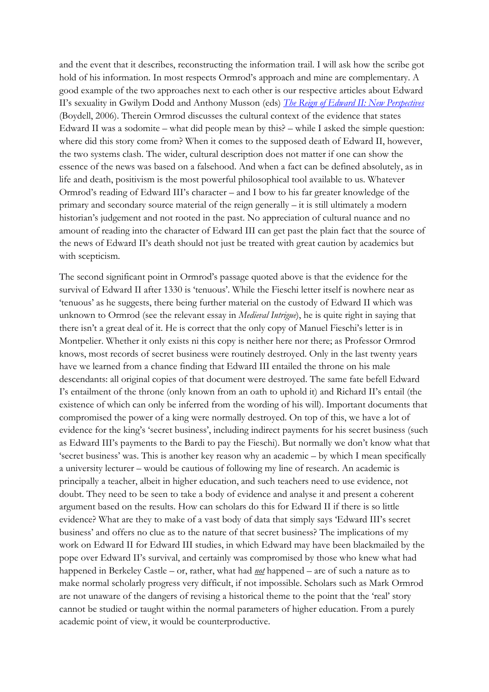and the event that it describes, reconstructing the information trail. I will ask how the scribe got hold of his information. In most respects Ormrod's approach and mine are complementary. A good example of the two approaches next to each other is our respective articles about Edward II's sexuality in Gwilym Dodd and Anthony Musson (eds) *The Reign of Edward II: New Perspectives* (Boydell, 2006). Therein Ormrod discusses the cultural context of the evidence that states Edward II was a sodomite – what did people mean by this? – while I asked the simple question: where did this story come from? When it comes to the supposed death of Edward II, however, the two systems clash. The wider, cultural description does not matter if one can show the essence of the news was based on a falsehood. And when a fact can be defined absolutely, as in life and death, positivism is the most powerful philosophical tool available to us. Whatever Ormrod's reading of Edward III's character – and I bow to his far greater knowledge of the primary and secondary source material of the reign generally – it is still ultimately a modern historian's judgement and not rooted in the past. No appreciation of cultural nuance and no amount of reading into the character of Edward III can get past the plain fact that the source of the news of Edward II's death should not just be treated with great caution by academics but with scepticism.

The second significant point in Ormrod's passage quoted above is that the evidence for the survival of Edward II after 1330 is 'tenuous'. While the Fieschi letter itself is nowhere near as 'tenuous' as he suggests, there being further material on the custody of Edward II which was unknown to Ormrod (see the relevant essay in *Medieval Intrigue*), he is quite right in saying that there isn't a great deal of it. He is correct that the only copy of Manuel Fieschi's letter is in Montpelier. Whether it only exists ni this copy is neither here nor there; as Professor Ormrod knows, most records of secret business were routinely destroyed. Only in the last twenty years have we learned from a chance finding that Edward III entailed the throne on his male descendants: all original copies of that document were destroyed. The same fate befell Edward I's entailment of the throne (only known from an oath to uphold it) and Richard II's entail (the existence of which can only be inferred from the wording of his will). Important documents that compromised the power of a king were normally destroyed. On top of this, we have a lot of evidence for the king's 'secret business', including indirect payments for his secret business (such as Edward III's payments to the Bardi to pay the Fieschi). But normally we don't know what that 'secret business' was. This is another key reason why an academic – by which I mean specifically a university lecturer – would be cautious of following my line of research. An academic is principally a teacher, albeit in higher education, and such teachers need to use evidence, not doubt. They need to be seen to take a body of evidence and analyse it and present a coherent argument based on the results. How can scholars do this for Edward II if there is so little evidence? What are they to make of a vast body of data that simply says 'Edward III's secret business' and offers no clue as to the nature of that secret business? The implications of my work on Edward II for Edward III studies, in which Edward may have been blackmailed by the pope over Edward II's survival, and certainly was compromised by those who knew what had happened in Berkeley Castle – or, rather, what had *not* happened – are of such a nature as to make normal scholarly progress very difficult, if not impossible. Scholars such as Mark Ormrod are not unaware of the dangers of revising a historical theme to the point that the 'real' story cannot be studied or taught within the normal parameters of higher education. From a purely academic point of view, it would be counterproductive.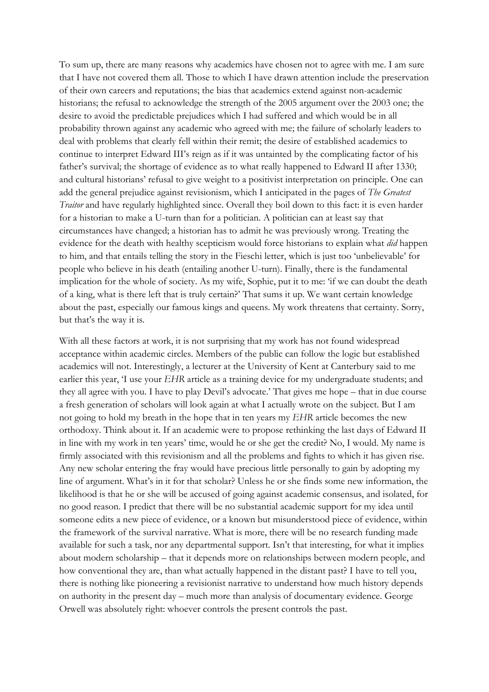To sum up, there are many reasons why academics have chosen not to agree with me. I am sure that I have not covered them all. Those to which I have drawn attention include the preservation of their own careers and reputations; the bias that academics extend against non-academic historians; the refusal to acknowledge the strength of the 2005 argument over the 2003 one; the desire to avoid the predictable prejudices which I had suffered and which would be in all probability thrown against any academic who agreed with me; the failure of scholarly leaders to deal with problems that clearly fell within their remit; the desire of established academics to continue to interpret Edward III's reign as if it was untainted by the complicating factor of his father's survival; the shortage of evidence as to what really happened to Edward II after 1330; and cultural historians' refusal to give weight to a positivist interpretation on principle. One can add the general prejudice against revisionism, which I anticipated in the pages of *The Greatest Traitor* and have regularly highlighted since. Overall they boil down to this fact: it is even harder for a historian to make a U-turn than for a politician. A politician can at least say that circumstances have changed; a historian has to admit he was previously wrong. Treating the evidence for the death with healthy scepticism would force historians to explain what *did* happen to him, and that entails telling the story in the Fieschi letter, which is just too 'unbelievable' for people who believe in his death (entailing another U-turn). Finally, there is the fundamental implication for the whole of society. As my wife, Sophie, put it to me: 'if we can doubt the death of a king, what is there left that is truly certain?' That sums it up. We want certain knowledge about the past, especially our famous kings and queens. My work threatens that certainty. Sorry, but that's the way it is.

With all these factors at work, it is not surprising that my work has not found widespread acceptance within academic circles. Members of the public can follow the logic but established academics will not. Interestingly, a lecturer at the University of Kent at Canterbury said to me earlier this year, 'I use your *EHR* article as a training device for my undergraduate students; and they all agree with you. I have to play Devil's advocate.' That gives me hope – that in due course a fresh generation of scholars will look again at what I actually wrote on the subject. But I am not going to hold my breath in the hope that in ten years my *EHR* article becomes the new orthodoxy. Think about it. If an academic were to propose rethinking the last days of Edward II in line with my work in ten years' time, would he or she get the credit? No, I would. My name is firmly associated with this revisionism and all the problems and fights to which it has given rise. Any new scholar entering the fray would have precious little personally to gain by adopting my line of argument. What's in it for that scholar? Unless he or she finds some new information, the likelihood is that he or she will be accused of going against academic consensus, and isolated, for no good reason. I predict that there will be no substantial academic support for my idea until someone edits a new piece of evidence, or a known but misunderstood piece of evidence, within the framework of the survival narrative. What is more, there will be no research funding made available for such a task, nor any departmental support. Isn't that interesting, for what it implies about modern scholarship – that it depends more on relationships between modern people, and how conventional they are, than what actually happened in the distant past? I have to tell you, there is nothing like pioneering a revisionist narrative to understand how much history depends on authority in the present day – much more than analysis of documentary evidence. George Orwell was absolutely right: whoever controls the present controls the past.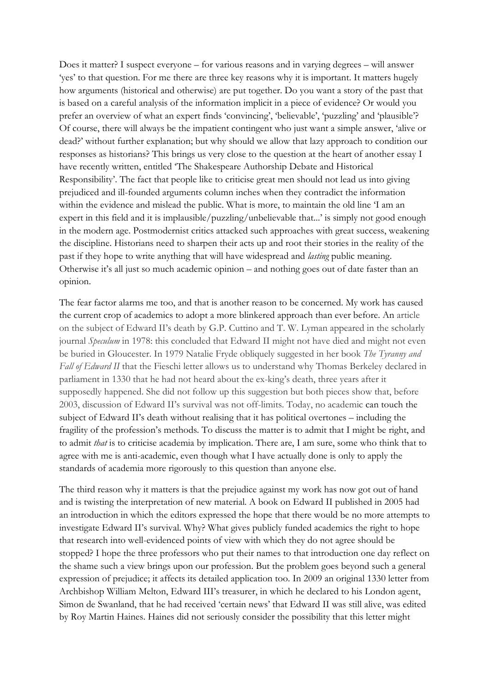Does it matter? I suspect everyone – for various reasons and in varying degrees – will answer 'yes' to that question. For me there are three key reasons why it is important. It matters hugely how arguments (historical and otherwise) are put together. Do you want a story of the past that is based on a careful analysis of the information implicit in a piece of evidence? Or would you prefer an overview of what an expert finds 'convincing', 'believable', 'puzzling' and 'plausible'? Of course, there will always be the impatient contingent who just want a simple answer, 'alive or dead?' without further explanation; but why should we allow that lazy approach to condition our responses as historians? This brings us very close to the question at the heart of another essay I have recently written, entitled 'The Shakespeare Authorship Debate and Historical Responsibility'. The fact that people like to criticise great men should not lead us into giving prejudiced and ill-founded arguments column inches when they contradict the information within the evidence and mislead the public. What is more, to maintain the old line 'I am an expert in this field and it is implausible/puzzling/unbelievable that...' is simply not good enough in the modern age. Postmodernist critics attacked such approaches with great success, weakening the discipline. Historians need to sharpen their acts up and root their stories in the reality of the past if they hope to write anything that will have widespread and *lasting* public meaning. Otherwise it's all just so much academic opinion – and nothing goes out of date faster than an opinion.

The fear factor alarms me too, and that is another reason to be concerned. My work has caused the current crop of academics to adopt a more blinkered approach than ever before. An article on the subject of Edward II's death by G.P. Cuttino and T. W. Lyman appeared in the scholarly journal *Speculum* in 1978: this concluded that Edward II might not have died and might not even be buried in Gloucester. In 1979 Natalie Fryde obliquely suggested in her book *The Tyranny and Fall of Edward II* that the Fieschi letter allows us to understand why Thomas Berkeley declared in parliament in 1330 that he had not heard about the ex-king's death, three years after it supposedly happened. She did not follow up this suggestion but both pieces show that, before 2003, discussion of Edward II's survival was not off-limits. Today, no academic can touch the subject of Edward II's death without realising that it has political overtones – including the fragility of the profession's methods. To discuss the matter is to admit that I might be right, and to admit *that* is to criticise academia by implication. There are, I am sure, some who think that to agree with me is anti-academic, even though what I have actually done is only to apply the standards of academia more rigorously to this question than anyone else.

The third reason why it matters is that the prejudice against my work has now got out of hand and is twisting the interpretation of new material. A book on Edward II published in 2005 had an introduction in which the editors expressed the hope that there would be no more attempts to investigate Edward II's survival. Why? What gives publicly funded academics the right to hope that research into well-evidenced points of view with which they do not agree should be stopped? I hope the three professors who put their names to that introduction one day reflect on the shame such a view brings upon our profession. But the problem goes beyond such a general expression of prejudice; it affects its detailed application too. In 2009 an original 1330 letter from Archbishop William Melton, Edward III's treasurer, in which he declared to his London agent, Simon de Swanland, that he had received 'certain news' that Edward II was still alive, was edited by Roy Martin Haines. Haines did not seriously consider the possibility that this letter might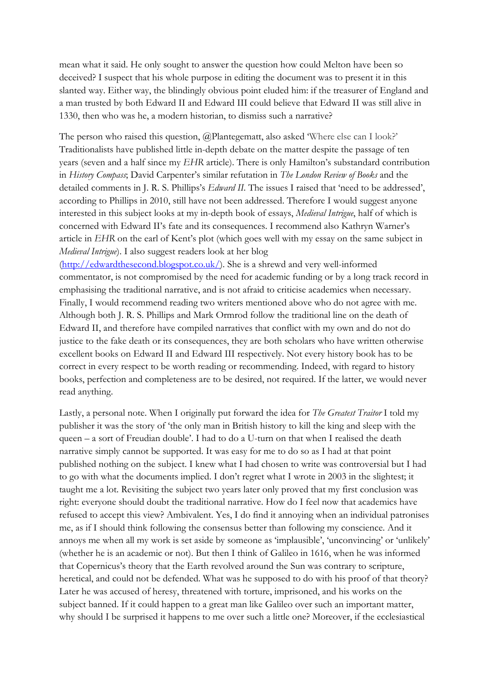mean what it said. He only sought to answer the question how could Melton have been so deceived? I suspect that his whole purpose in editing the document was to present it in this slanted way. Either way, the blindingly obvious point eluded him: if the treasurer of England and a man trusted by both Edward II and Edward III could believe that Edward II was still alive in 1330, then who was he, a modern historian, to dismiss such a narrative?

The person who raised this question, @Plantegematt, also asked 'Where else can I look?' Traditionalists have published little in-depth debate on the matter despite the passage of ten years (seven and a half since my *EHR* article). There is only Hamilton's substandard contribution in *History Compass*; David Carpenter's similar refutation in *The London Review of Books* and the detailed comments in J. R. S. Phillips's *Edward II*. The issues I raised that 'need to be addressed', according to Phillips in 2010, still have not been addressed. Therefore I would suggest anyone interested in this subject looks at my in-depth book of essays, *Medieval Intrigue*, half of which is concerned with Edward II's fate and its consequences. I recommend also Kathryn Warner's article in *EHR* on the earl of Kent's plot (which goes well with my essay on the same subject in *Medieval Intrigue*). I also suggest readers look at her blog

(http://edwardthesecond.blogspot.co.uk/). She is a shrewd and very well-informed commentator, is not compromised by the need for academic funding or by a long track record in emphasising the traditional narrative, and is not afraid to criticise academics when necessary. Finally, I would recommend reading two writers mentioned above who do not agree with me. Although both J. R. S. Phillips and Mark Ormrod follow the traditional line on the death of Edward II, and therefore have compiled narratives that conflict with my own and do not do justice to the fake death or its consequences, they are both scholars who have written otherwise excellent books on Edward II and Edward III respectively. Not every history book has to be correct in every respect to be worth reading or recommending. Indeed, with regard to history books, perfection and completeness are to be desired, not required. If the latter, we would never read anything.

Lastly, a personal note. When I originally put forward the idea for *The Greatest Traitor* I told my publisher it was the story of 'the only man in British history to kill the king and sleep with the queen – a sort of Freudian double'. I had to do a U-turn on that when I realised the death narrative simply cannot be supported. It was easy for me to do so as I had at that point published nothing on the subject. I knew what I had chosen to write was controversial but I had to go with what the documents implied. I don't regret what I wrote in 2003 in the slightest; it taught me a lot. Revisiting the subject two years later only proved that my first conclusion was right: everyone should doubt the traditional narrative. How do I feel now that academics have refused to accept this view? Ambivalent. Yes, I do find it annoying when an individual patronises me, as if I should think following the consensus better than following my conscience. And it annoys me when all my work is set aside by someone as 'implausible', 'unconvincing' or 'unlikely' (whether he is an academic or not). But then I think of Galileo in 1616, when he was informed that Copernicus's theory that the Earth revolved around the Sun was contrary to scripture, heretical, and could not be defended. What was he supposed to do with his proof of that theory? Later he was accused of heresy, threatened with torture, imprisoned, and his works on the subject banned. If it could happen to a great man like Galileo over such an important matter, why should I be surprised it happens to me over such a little one? Moreover, if the ecclesiastical